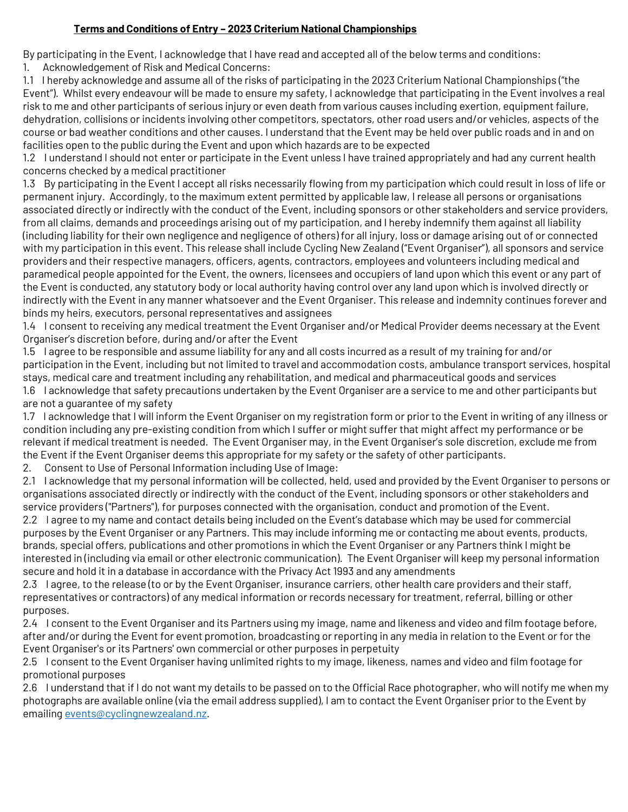## **Terms and Conditions of Entry – 2023 Criterium National Championships**

By participating in the Event, I acknowledge that I have read and accepted all of the below terms and conditions:

1. Acknowledgement of Risk and Medical Concerns:

1.1 I hereby acknowledge and assume all of the risks of participating in the 2023 Criterium National Championships ("the Event"). Whilst every endeavour will be made to ensure my safety, I acknowledge that participating in the Event involves a real risk to me and other participants of serious injury or even death from various causes including exertion, equipment failure, dehydration, collisions or incidents involving other competitors, spectators, other road users and/or vehicles, aspects of the course or bad weather conditions and other causes. I understand that the Event may be held over public roads and in and on facilities open to the public during the Event and upon which hazards are to be expected

1.2 I understand I should not enter or participate in the Event unless I have trained appropriately and had any current health concerns checked by a medical practitioner

1.3 By participating in the Event I accept all risks necessarily flowing from my participation which could result in loss of life or permanent injury. Accordingly, to the maximum extent permitted by applicable law, I release all persons or organisations associated directly or indirectly with the conduct of the Event, including sponsors or other stakeholders and service providers, from all claims, demands and proceedings arising out of my participation, and I hereby indemnify them against all liability (including liability for their own negligence and negligence of others) for all injury, loss or damage arising out of or connected with my participation in this event. This release shall include Cycling New Zealand ("Event Organiser"), all sponsors and service providers and their respective managers, officers, agents, contractors, employees and volunteers including medical and paramedical people appointed for the Event, the owners, licensees and occupiers of land upon which this event or any part of the Event is conducted, any statutory body or local authority having control over any land upon which is involved directly or indirectly with the Event in any manner whatsoever and the Event Organiser. This release and indemnity continues forever and binds my heirs, executors, personal representatives and assignees

1.4 I consent to receiving any medical treatment the Event Organiser and/or Medical Provider deems necessary at the Event Organiser's discretion before, during and/or after the Event

1.5 I agree to be responsible and assume liability for any and all costs incurred as a result of my training for and/or participation in the Event, including but not limited to travel and accommodation costs, ambulance transport services, hospital stays, medical care and treatment including any rehabilitation, and medical and pharmaceutical goods and services 1.6 I acknowledge that safety precautions undertaken by the Event Organiser are a service to me and other participants but are not a guarantee of my safety

1.7 I acknowledge that I will inform the Event Organiser on my registration form or prior to the Event in writing of any illness or condition including any pre-existing condition from which I suffer or might suffer that might affect my performance or be relevant if medical treatment is needed. The Event Organiser may, in the Event Organiser's sole discretion, exclude me from the Event if the Event Organiser deems this appropriate for my safety or the safety of other participants.

2. Consent to Use of Personal Information including Use of Image:

2.1 I acknowledge that my personal information will be collected, held, used and provided by the Event Organiser to persons or organisations associated directly or indirectly with the conduct of the Event, including sponsors or other stakeholders and service providers ("Partners"), for purposes connected with the organisation, conduct and promotion of the Event.

2.2 I agree to my name and contact details being included on the Event's database which may be used for commercial purposes by the Event Organiser or any Partners. This may include informing me or contacting me about events, products, brands, special offers, publications and other promotions in which the Event Organiser or any Partners think I might be interested in (including via email or other electronic communication). The Event Organiser will keep my personal information secure and hold it in a database in accordance with the Privacy Act 1993 and any amendments

2.3 I agree, to the release (to or by the Event Organiser, insurance carriers, other health care providers and their staff, representatives or contractors) of any medical information or records necessary for treatment, referral, billing or other purposes.

2.4 I consent to the Event Organiser and its Partners using my image, name and likeness and video and film footage before, after and/or during the Event for event promotion, broadcasting or reporting in any media in relation to the Event or for the Event Organiser's or its Partners' own commercial or other purposes in perpetuity

2.5 I consent to the Event Organiser having unlimited rights to my image, likeness, names and video and film footage for promotional purposes

2.6 I understand that if I do not want my details to be passed on to the Official Race photographer, who will notify me when my photographs are available online (via the email address supplied), I am to contact the Event Organiser prior to the Event by emailin[g events@cyclingnewzealand.nz.](mailto:events@cyclingnewzealand.nz)